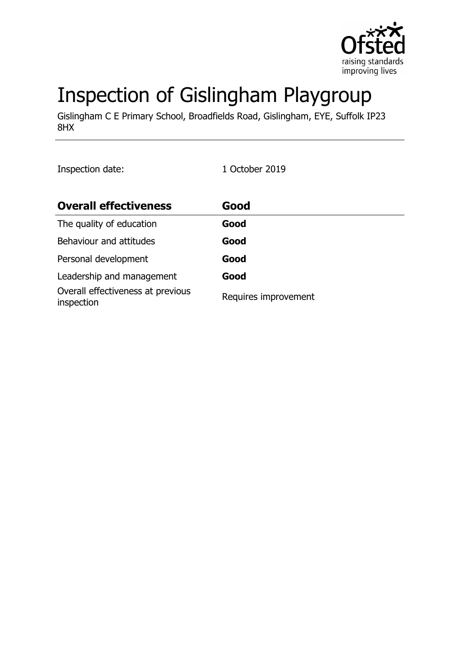

# Inspection of Gislingham Playgroup

Gislingham C E Primary School, Broadfields Road, Gislingham, EYE, Suffolk IP23 8HX

Inspection date: 1 October 2019

| <b>Overall effectiveness</b>                    | Good                 |
|-------------------------------------------------|----------------------|
| The quality of education                        | Good                 |
| Behaviour and attitudes                         | Good                 |
| Personal development                            | Good                 |
| Leadership and management                       | Good                 |
| Overall effectiveness at previous<br>inspection | Requires improvement |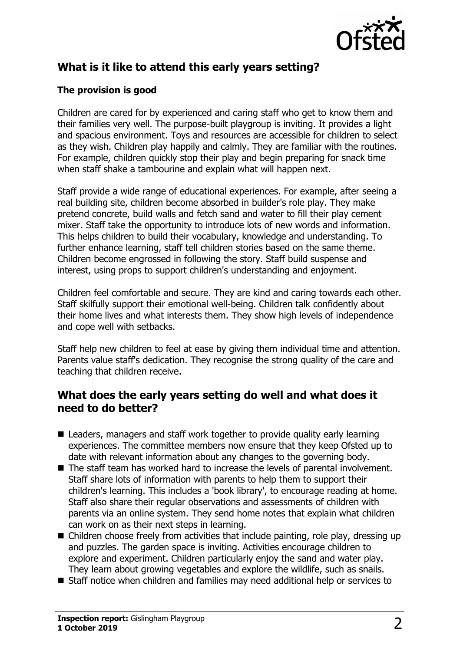

## **What is it like to attend this early years setting?**

#### **The provision is good**

Children are cared for by experienced and caring staff who get to know them and their families very well. The purpose-built playgroup is inviting. It provides a light and spacious environment. Toys and resources are accessible for children to select as they wish. Children play happily and calmly. They are familiar with the routines. For example, children quickly stop their play and begin preparing for snack time when staff shake a tambourine and explain what will happen next.

Staff provide a wide range of educational experiences. For example, after seeing a real building site, children become absorbed in builder's role play. They make pretend concrete, build walls and fetch sand and water to fill their play cement mixer. Staff take the opportunity to introduce lots of new words and information. This helps children to build their vocabulary, knowledge and understanding. To further enhance learning, staff tell children stories based on the same theme. Children become engrossed in following the story. Staff build suspense and interest, using props to support children's understanding and enjoyment.

Children feel comfortable and secure. They are kind and caring towards each other. Staff skilfully support their emotional well-being. Children talk confidently about their home lives and what interests them. They show high levels of independence and cope well with setbacks.

Staff help new children to feel at ease by giving them individual time and attention. Parents value staff's dedication. They recognise the strong quality of the care and teaching that children receive.

### **What does the early years setting do well and what does it need to do better?**

- $\blacksquare$  Leaders, managers and staff work together to provide quality early learning experiences. The committee members now ensure that they keep Ofsted up to date with relevant information about any changes to the governing body.
- $\blacksquare$  The staff team has worked hard to increase the levels of parental involvement. Staff share lots of information with parents to help them to support their children's learning. This includes a 'book library', to encourage reading at home. Staff also share their regular observations and assessments of children with parents via an online system. They send home notes that explain what children can work on as their next steps in learning.
- $\blacksquare$  Children choose freely from activities that include painting, role play, dressing up and puzzles. The garden space is inviting. Activities encourage children to explore and experiment. Children particularly enjoy the sand and water play. They learn about growing vegetables and explore the wildlife, such as snails.
- Staff notice when children and families may need additional help or services to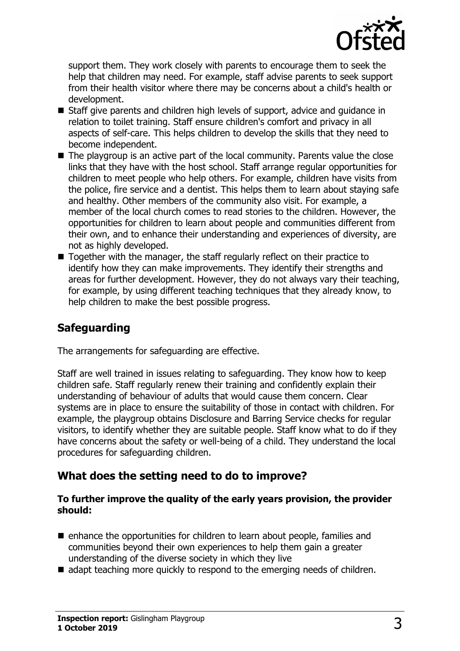

support them. They work closely with parents to encourage them to seek the help that children may need. For example, staff advise parents to seek support from their health visitor where there may be concerns about a child's health or development.

- Staff give parents and children high levels of support, advice and guidance in relation to toilet training. Staff ensure children's comfort and privacy in all aspects of self-care. This helps children to develop the skills that they need to become independent.
- $\blacksquare$  The playgroup is an active part of the local community. Parents value the close links that they have with the host school. Staff arrange regular opportunities for children to meet people who help others. For example, children have visits from the police, fire service and a dentist. This helps them to learn about staying safe and healthy. Other members of the community also visit. For example, a member of the local church comes to read stories to the children. However, the opportunities for children to learn about people and communities different from their own, and to enhance their understanding and experiences of diversity, are not as highly developed.
- $\blacksquare$  Together with the manager, the staff regularly reflect on their practice to identify how they can make improvements. They identify their strengths and areas for further development. However, they do not always vary their teaching, for example, by using different teaching techniques that they already know, to help children to make the best possible progress.

## **Safeguarding**

The arrangements for safeguarding are effective.

Staff are well trained in issues relating to safeguarding. They know how to keep children safe. Staff regularly renew their training and confidently explain their understanding of behaviour of adults that would cause them concern. Clear systems are in place to ensure the suitability of those in contact with children. For example, the playgroup obtains Disclosure and Barring Service checks for regular visitors, to identify whether they are suitable people. Staff know what to do if they have concerns about the safety or well-being of a child. They understand the local procedures for safeguarding children.

#### **What does the setting need to do to improve?**

#### **To further improve the quality of the early years provision, the provider should:**

- $\blacksquare$  enhance the opportunities for children to learn about people, families and communities beyond their own experiences to help them gain a greater understanding of the diverse society in which they live
- $\blacksquare$  adapt teaching more quickly to respond to the emerging needs of children.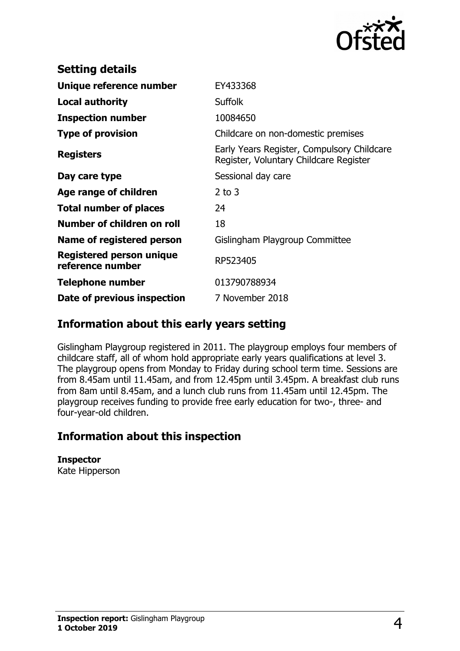

| EY433368                                                                             |
|--------------------------------------------------------------------------------------|
| <b>Suffolk</b>                                                                       |
| 10084650                                                                             |
| Childcare on non-domestic premises                                                   |
| Early Years Register, Compulsory Childcare<br>Register, Voluntary Childcare Register |
| Sessional day care                                                                   |
| $2$ to $3$                                                                           |
| 24                                                                                   |
| 18                                                                                   |
| Gislingham Playgroup Committee                                                       |
| RP523405                                                                             |
| 013790788934                                                                         |
| 7 November 2018                                                                      |
|                                                                                      |

## **Information about this early years setting**

Gislingham Playgroup registered in 2011. The playgroup employs four members of childcare staff, all of whom hold appropriate early years qualifications at level 3. The playgroup opens from Monday to Friday during school term time. Sessions are from 8.45am until 11.45am, and from 12.45pm until 3.45pm. A breakfast club runs from 8am until 8.45am, and a lunch club runs from 11.45am until 12.45pm. The playgroup receives funding to provide free early education for two-, three- and four-year-old children.

## **Information about this inspection**

**Inspector** Kate Hipperson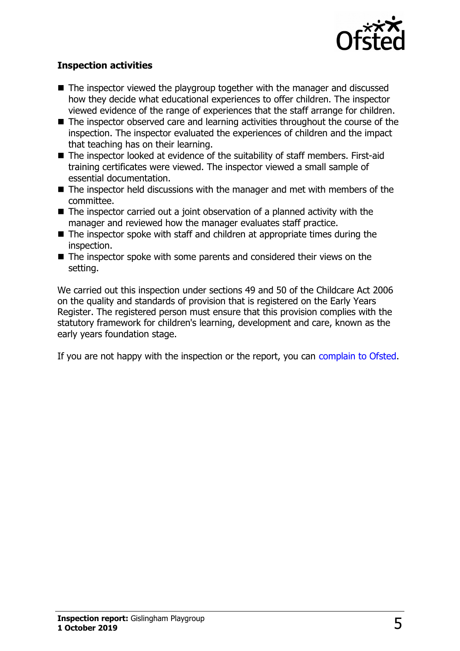

#### **Inspection activities**

- $\blacksquare$  The inspector viewed the playgroup together with the manager and discussed how they decide what educational experiences to offer children. The inspector viewed evidence of the range of experiences that the staff arrange for children.
- The inspector observed care and learning activities throughout the course of the inspection. The inspector evaluated the experiences of children and the impact that teaching has on their learning.
- $\blacksquare$  The inspector looked at evidence of the suitability of staff members. First-aid training certificates were viewed. The inspector viewed a small sample of essential documentation.
- $\blacksquare$  The inspector held discussions with the manager and met with members of the committee.
- $\blacksquare$  The inspector carried out a joint observation of a planned activity with the manager and reviewed how the manager evaluates staff practice.
- $\blacksquare$  The inspector spoke with staff and children at appropriate times during the inspection.
- $\blacksquare$  The inspector spoke with some parents and considered their views on the setting.

We carried out this inspection under sections 49 and 50 of the Childcare Act 2006 on the quality and standards of provision that is registered on the Early Years Register. The registered person must ensure that this provision complies with the statutory framework for children's learning, development and care, known as the early years foundation stage.

If you are not happy with the inspection or the report, you can [complain to Ofsted.](http://www.gov.uk/complain-ofsted-report)